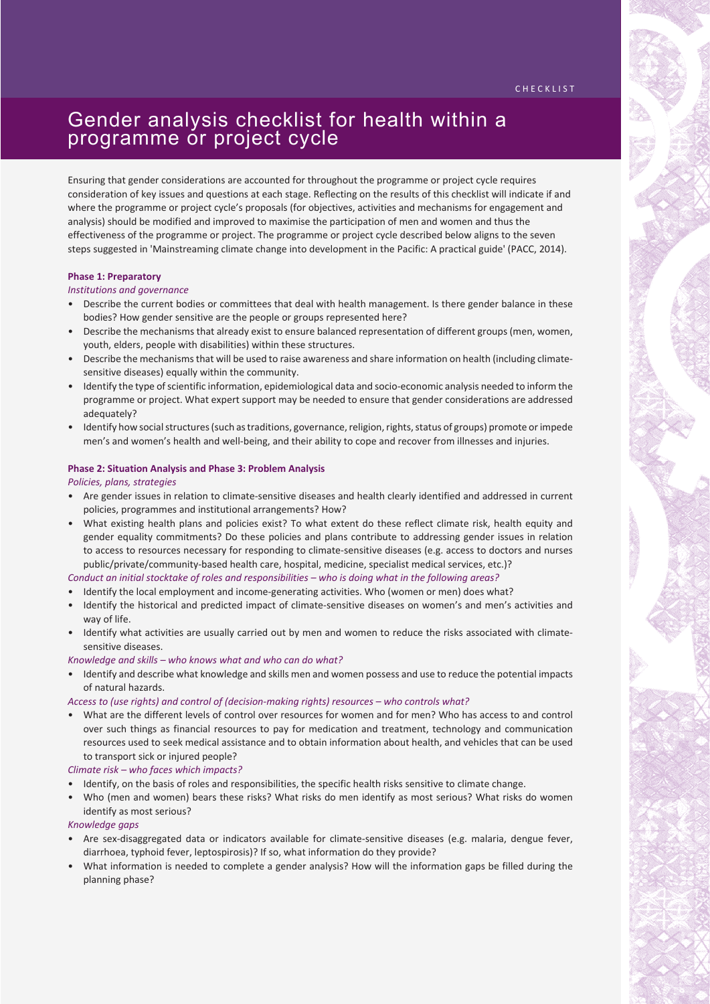# Gender analysis checklist for health within a programme or project cycle

Ensuring that gender considerations are accounted for throughout the programme or project cycle requires consideration of key issues and questions at each stage. Reflecting on the results of this checklist will indicate if and where the programme or project cycle's proposals (for objectives, activities and mechanisms for engagement and analysis) should be modified and improved to maximise the participation of men and women and thus the effectiveness of the programme or project. The programme or project cycle described below aligns to the seven steps suggested in 'Mainstreaming climate change into development in the Pacific: A practical guide' (PACC, 2014).

### **Phase 1: Preparatory**

*Institutions and governance*

- • Describe the current bodies or committees that deal with health management. Is there gender balance in these bodies? How gender sensitive are the people or groups represented here?
- • Describe the mechanisms that already exist to ensure balanced representation of different groups (men, women, youth, elders, people with disabilities) within these structures.
- • Describe the mechanismsthat will be used to raise awareness and share information on health (including climatesensitive diseases) equally within the community.
- • Identify the type ofscientific information, epidemiological data and socio-economic analysis needed to inform the programme or project. What expert support may be needed to ensure that gender considerations are addressed adequately?
- Identify how social structures (such as traditions, governance, religion, rights, status of groups) promote or impede men's and women's health and well-being, and their ability to cope and recover from illnesses and injuries.

## **Phase 2: Situation Analysis and Phase 3: Problem Analysis**

*Policies, plans, strategies*

- • Are gender issues in relation to climate-sensitive diseases and health clearly identified and addressed in current policies, programmes and institutional arrangements? How?
- • What existing health plans and policies exist? To what extent do these reflect climate risk, health equity and gender equality commitments? Do these policies and plans contribute to addressing gender issues in relation to access to resources necessary for responding to climate-sensitive diseases (e.g. access to doctors and nurses public/private/community-based health care, hospital, medicine, specialist medical services, etc.)?

*Conduct an initial stocktake of roles and responsibilities – who is doing what in the following areas?*

- Identify the local employment and income-generating activities. Who (women or men) does what?
- • Identify the historical and predicted impact of climate-sensitive diseases on women's and men's activities and way of life.
- • Identify what activities are usually carried out by men and women to reduce the risks associated with climatesensitive diseases.

*Knowledge and skills – who knows what and who can do what?*

Identify and describe what knowledge and skills men and women possess and use to reduce the potential impacts of natural hazards.

*Access to (use rights) and control of (decision-making rights) resources – who controls what?*

• What are the different levels of control over resources for women and for men? Who has access to and control over such things as financial resources to pay for medication and treatment, technology and communication resources used to seek medical assistance and to obtain information about health, and vehicles that can be used to transport sick or injured people?

*Climate risk – who faces which impacts?*

- Identify, on the basis of roles and responsibilities, the specific health risks sensitive to climate change.
- Who (men and women) bears these risks? What risks do men identify as most serious? What risks do women identify as most serious?

*Knowledge gaps*

- • Are sex-disaggregated data or indicators available for climate-sensitive diseases (e.g. malaria, dengue fever, diarrhoea, typhoid fever, leptospirosis)? If so, what information do they provide?
- • What information is needed to complete a gender analysis? How will the information gaps be filled during the planning phase?